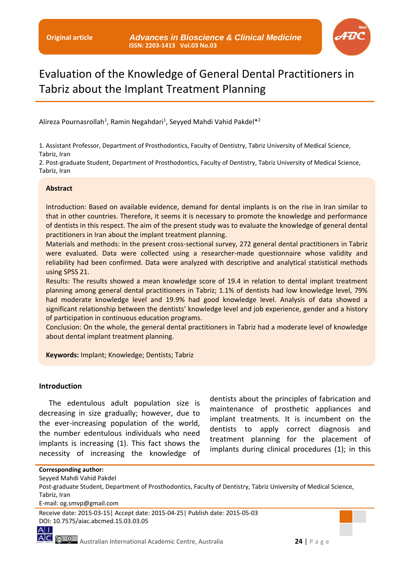

# Evaluation of the Knowledge of General Dental Practitioners in Tabriz about the Implant Treatment Planning

Alireza Pournasrollah<sup>1</sup>, Ramin Negahdari<sup>1</sup>, Seyyed Mahdi Vahid Pakdel<sup>\*2</sup>

1. Assistant Professor, Department of Prosthodontics, Faculty of Dentistry, Tabriz University of Medical Science, Tabriz, Iran

2. Post-graduate Student, Department of Prosthodontics, Faculty of Dentistry, Tabriz University of Medical Science, Tabriz, Iran

#### **Abstract**

Introduction: Based on available evidence, demand for dental implants is on the rise in Iran similar to that in other countries. Therefore, it seems it is necessary to promote the knowledge and performance of dentists in this respect. The aim of the present study was to evaluate the knowledge of general dental practitioners in Iran about the implant treatment planning.

Materials and methods: In the present cross-sectional survey, 272 general dental practitioners in Tabriz were evaluated. Data were collected using a researcher-made questionnaire whose validity and reliability had been confirmed. Data were analyzed with descriptive and analytical statistical methods using SPSS 21.

Results: The results showed a mean knowledge score of 19.4 in relation to dental implant treatment planning among general dental practitioners in Tabriz; 1.1% of dentists had low knowledge level, 79% had moderate knowledge level and 19.9% had good knowledge level. Analysis of data showed a significant relationship between the dentists' knowledge level and job experience, gender and a history of participation in continuous education programs.

Conclusion: On the whole, the general dental practitioners in Tabriz had a moderate level of knowledge about dental implant treatment planning.

**Keywords:** Implant; Knowledge; Dentists; Tabriz

#### **Introduction**

The edentulous adult population size is decreasing in size gradually; however, due to the ever-increasing population of the world, the number edentulous individuals who need implants is increasing (1). This fact shows the necessity of increasing the knowledge of

dentists about the principles of fabrication and maintenance of prosthetic appliances and implant treatments. It is incumbent on the dentists to apply correct diagnosis and treatment planning for the placement of implants during clinical procedures (1); in this

```
Corresponding author:
Seyyed Mahdi Vahid Pakdel
Post-graduate Student, Department of Prosthodontics, Faculty of Dentistry, Tabriz University of Medical Science, 
Tabriz, Iran
```
E-mail: og.smvp@gmail.com



Receive date: 2015-03-15| Accept date: 2015-04-25| Publish date: 2015-05-03 DOI: 10.7575/aiac.abcmed.15.03.03.05

 $A$ |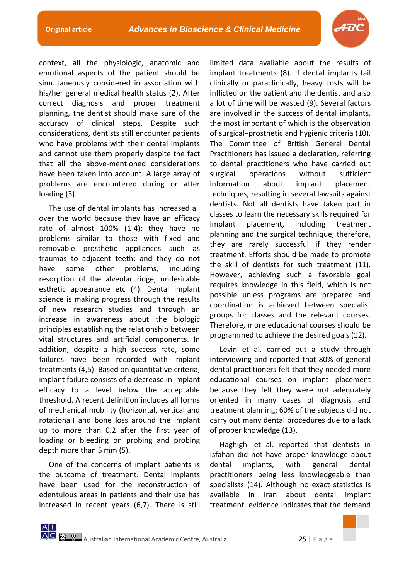

context, all the physiologic, anatomic and emotional aspects of the patient should be simultaneously considered in association with his/her general medical health status (2). After correct diagnosis and proper treatment planning, the dentist should make sure of the accuracy of clinical steps. Despite such considerations, dentists still encounter patients who have problems with their dental implants and cannot use them properly despite the fact that all the above-mentioned considerations have been taken into account. A large array of problems are encountered during or after loading (3).

The use of dental implants has increased all over the world because they have an efficacy rate of almost 100% (1-4); they have no problems similar to those with fixed and removable prosthetic appliances such as traumas to adjacent teeth; and they do not have some other problems, including resorption of the alveolar ridge, undesirable esthetic appearance etc (4). Dental implant science is making progress through the results of new research studies and through an increase in awareness about the biologic principles establishing the relationship between vital structures and artificial components. In addition, despite a high success rate, some failures have been recorded with implant treatments (4,5). Based on quantitative criteria, implant failure consists of a decrease in implant efficacy to a level below the acceptable threshold. A recent definition includes all forms of mechanical mobility (horizontal, vertical and rotational) and bone loss around the implant up to more than 0.2 after the first year of loading or bleeding on probing and probing depth more than 5 mm (5).

One of the concerns of implant patients is the outcome of treatment. Dental implants have been used for the reconstruction of edentulous areas in patients and their use has increased in recent years (6,7). There is still limited data available about the results of implant treatments (8). If dental implants fail clinically or paraclinically, heavy costs will be inflicted on the patient and the dentist and also a lot of time will be wasted (9). Several factors are involved in the success of dental implants, the most important of which is the observation of surgical‒prosthetic and hygienic criteria (10). The Committee of British General Dental Practitioners has issued a declaration, referring to dental practitioners who have carried out surgical operations without sufficient information about implant placement techniques, resulting in several lawsuits against dentists. Not all dentists have taken part in classes to learn the necessary skills required for implant placement, including treatment planning and the surgical technique; therefore, they are rarely successful if they render treatment. Efforts should be made to promote the skill of dentists for such treatment (11). However, achieving such a favorable goal requires knowledge in this field, which is not possible unless programs are prepared and coordination is achieved between specialist groups for classes and the relevant courses. Therefore, more educational courses should be programmed to achieve the desired goals (12).

Levin et al. carried out a study through interviewing and reported that 80% of general dental practitioners felt that they needed more educational courses on implant placement because they felt they were not adequately oriented in many cases of diagnosis and treatment planning; 60% of the subjects did not carry out many dental procedures due to a lack of proper knowledge (13).

Haghighi et al. reported that dentists in Isfahan did not have proper knowledge about dental implants, with general dental practitioners being less knowledgeable than specialists (14). Although no exact statistics is available in Iran about dental implant treatment, evidence indicates that the demand

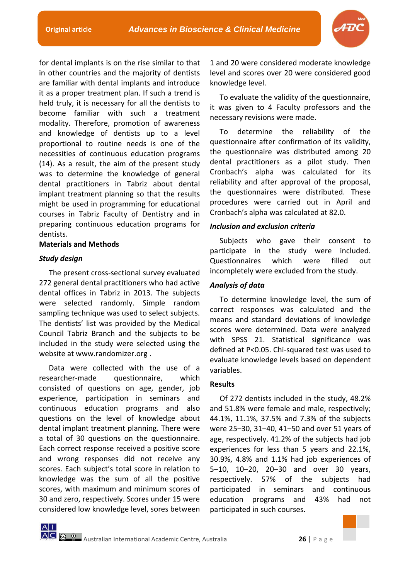

for dental implants is on the rise similar to that in other countries and the majority of dentists are familiar with dental implants and introduce it as a proper treatment plan. If such a trend is held truly, it is necessary for all the dentists to become familiar with such a treatment modality. Therefore, promotion of awareness and knowledge of dentists up to a level proportional to routine needs is one of the necessities of continuous education programs (14). As a result, the aim of the present study was to determine the knowledge of general dental practitioners in Tabriz about dental implant treatment planning so that the results might be used in programming for educational courses in Tabriz Faculty of Dentistry and in preparing continuous education programs for dentists.

# **Materials and Methods**

# *Study design*

The present cross-sectional survey evaluated 272 general dental practitioners who had active dental offices in Tabriz in 2013. The subjects were selected randomly. Simple random sampling technique was used to select subjects. The dentists' list was provided by the Medical Council Tabriz Branch and the subjects to be included in the study were selected using the website at www.randomizer.org .

Data were collected with the use of a researcher-made questionnaire, which consisted of questions on age, gender, job experience, participation in seminars and continuous education programs and also questions on the level of knowledge about dental implant treatment planning. There were a total of 30 questions on the questionnaire. Each correct response received a positive score and wrong responses did not receive any scores. Each subject's total score in relation to knowledge was the sum of all the positive scores, with maximum and minimum scores of 30 and zero, respectively. Scores under 15 were considered low knowledge level, sores between 1 and 20 were considered moderate knowledge level and scores over 20 were considered good knowledge level.

To evaluate the validity of the questionnaire, it was given to 4 Faculty professors and the necessary revisions were made.

To determine the reliability of the questionnaire after confirmation of its validity, the questionnaire was distributed among 20 dental practitioners as a pilot study. Then Cronbach's alpha was calculated for its reliability and after approval of the proposal, the questionnaires were distributed. These procedures were carried out in April and Cronbach's alpha was calculated at 82.0.

## *Inclusion and exclusion criteria*

Subjects who gave their consent to participate in the study were included. Questionnaires which were filled out incompletely were excluded from the study.

# *Analysis of data*

To determine knowledge level, the sum of correct responses was calculated and the means and standard deviations of knowledge scores were determined. Data were analyzed with SPSS 21. Statistical significance was defined at P<0.05. Chi-squared test was used to evaluate knowledge levels based on dependent variables.

## **Results**

Of 272 dentists included in the study, 48.2% and 51.8% were female and male, respectively; 44.1%, 11.1%, 37.5% and 7.3% of the subjects were 25-30, 31-40, 41-50 and over 51 years of age, respectively. 41.2% of the subjects had job experiences for less than 5 years and 22.1%, 30.9%, 4.8% and 1.1% had job experiences of 5-10, 10-20, 20-30 and over 30 years, respectively. 57% of the subjects had participated in seminars and continuous education programs and 43% had not participated in such courses.

Australian International Academic Centre, Australia **26** | P a g e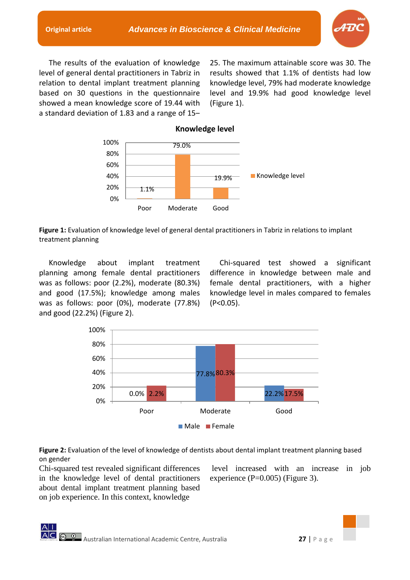

The results of the evaluation of knowledge level of general dental practitioners in Tabriz in relation to dental implant treatment planning based on 30 questions in the questionnaire showed a mean knowledge score of 19.44 with a standard deviation of 1.83 and a range of  $15-$  25. The maximum attainable score was 30. The results showed that 1.1% of dentists had low knowledge level, 79% had moderate knowledge level and 19.9% had good knowledge level (Figure 1).



**Figure 1:** Evaluation of knowledge level of general dental practitioners in Tabriz in relations to implant treatment planning

Knowledge about implant treatment planning among female dental practitioners was as follows: poor (2.2%), moderate (80.3%) and good (17.5%); knowledge among males was as follows: poor (0%), moderate (77.8%) and good (22.2%) (Figure 2).

Chi-squared test showed a significant difference in knowledge between male and female dental practitioners, with a higher knowledge level in males compared to females (P<0.05).



**Figure 2:** Evaluation of the level of knowledge of dentists about dental implant treatment planning based on gender

Chi-squared test revealed significant differences in the knowledge level of dental practitioners about dental implant treatment planning based on job experience. In this context, knowledge

level increased with an increase in job experience (P=0.005) (Figure 3).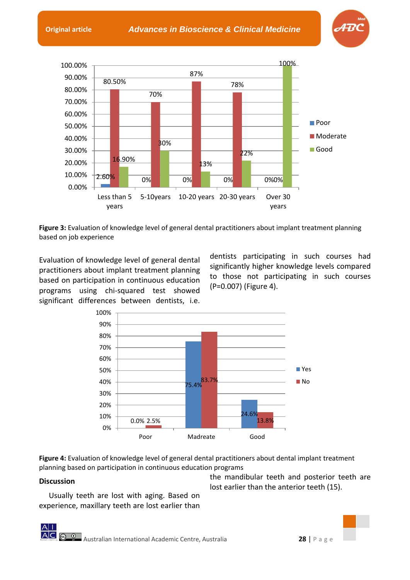**Original article** *Advances in Bioscience & Clinical Medicine*





**Figure 3:** Evaluation of knowledge level of general dental practitioners about implant treatment planning based on job experience

Evaluation of knowledge level of general dental practitioners about implant treatment planning based on participation in continuous education programs using chi-squared test showed significant differences between dentists, i.e.

dentists participating in such courses had significantly higher knowledge levels compared to those not participating in such courses (P=0.007) (Figure 4).



**Figure 4:** Evaluation of knowledge level of general dental practitioners about dental implant treatment planning based on participation in continuous education programs

# **Discussion**

Usually teeth are lost with aging. Based on experience, maxillary teeth are lost earlier than

the mandibular teeth and posterior teeth are lost earlier than the anterior teeth (15).

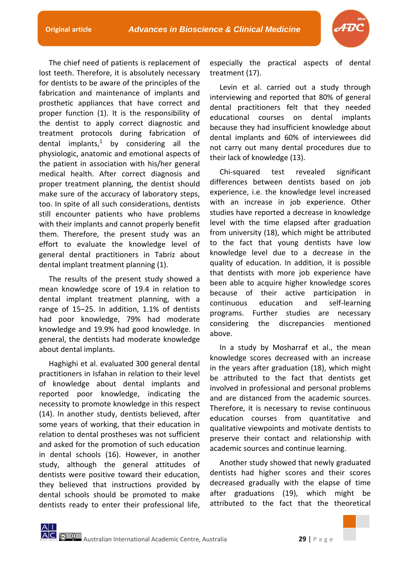The chief need of patients is replacement of lost teeth. Therefore, it is absolutely necessary for dentists to be aware of the principles of the fabrication and maintenance of implants and prosthetic appliances that have correct and proper function (1). It is the responsibility of the dentist to apply correct diagnostic and treatment protocols during fabrication of dental implants, $1$  by considering all the physiologic, anatomic and emotional aspects of the patient in association with his/her general medical health. After correct diagnosis and proper treatment planning, the dentist should make sure of the accuracy of laboratory steps, too. In spite of all such considerations, dentists still encounter patients who have problems with their implants and cannot properly benefit them. Therefore, the present study was an effort to evaluate the knowledge level of general dental practitioners in Tabriz about dental implant treatment planning (1).

The results of the present study showed a mean knowledge score of 19.4 in relation to dental implant treatment planning, with a range of 15-25. In addition, 1.1% of dentists had poor knowledge, 79% had moderate knowledge and 19.9% had good knowledge. In general, the dentists had moderate knowledge about dental implants.

Haghighi et al. evaluated 300 general dental practitioners in Isfahan in relation to their level of knowledge about dental implants and reported poor knowledge, indicating the necessity to promote knowledge in this respect (14). In another study, dentists believed, after some years of working, that their education in relation to dental prostheses was not sufficient and asked for the promotion of such education in dental schools (16). However, in another study, although the general attitudes of dentists were positive toward their education, they believed that instructions provided by dental schools should be promoted to make dentists ready to enter their professional life,

especially the practical aspects of dental treatment (17).

Levin et al. carried out a study through interviewing and reported that 80% of general dental practitioners felt that they needed educational courses on dental implants because they had insufficient knowledge about dental implants and 60% of interviewees did not carry out many dental procedures due to their lack of knowledge (13).

Chi-squared test revealed significant differences between dentists based on job experience, i.e. the knowledge level increased with an increase in job experience. Other studies have reported a decrease in knowledge level with the time elapsed after graduation from university (18), which might be attributed to the fact that young dentists have low knowledge level due to a decrease in the quality of education. In addition, it is possible that dentists with more job experience have been able to acquire higher knowledge scores because of their active participation in continuous education and self-learning programs. Further studies are necessary considering the discrepancies mentioned above.

In a study by Mosharraf et al., the mean knowledge scores decreased with an increase in the years after graduation (18), which might be attributed to the fact that dentists get involved in professional and personal problems and are distanced from the academic sources. Therefore, it is necessary to revise continuous education courses from quantitative and qualitative viewpoints and motivate dentists to preserve their contact and relationship with academic sources and continue learning.

Another study showed that newly graduated dentists had higher scores and their scores decreased gradually with the elapse of time after graduations (19), which might be attributed to the fact that the theoretical

$$
\frac{\mathsf{A}|\mathsf{I}}{\mathsf{A}|\mathsf{C}|}
$$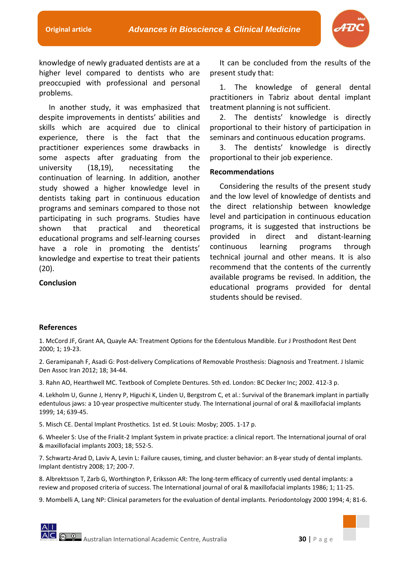

knowledge of newly graduated dentists are at a higher level compared to dentists who are preoccupied with professional and personal problems.

In another study, it was emphasized that despite improvements in dentists' abilities and skills which are acquired due to clinical experience, there is the fact that the practitioner experiences some drawbacks in some aspects after graduating from the university (18,19), necessitating the continuation of learning. In addition, another study showed a higher knowledge level in dentists taking part in continuous education programs and seminars compared to those not participating in such programs. Studies have shown that practical and theoretical educational programs and self-learning courses have a role in promoting the dentists' knowledge and expertise to treat their patients  $(20)$ .

**Conclusion** 

It can be concluded from the results of the present study that:

1. The knowledge of general dental practitioners in Tabriz about dental implant treatment planning is not sufficient.

2. The dentists' knowledge is directly proportional to their history of participation in seminars and continuous education programs.

3. The dentists' knowledge is directly proportional to their job experience.

## **Recommendations**

Considering the results of the present study and the low level of knowledge of dentists and the direct relationship between knowledge level and participation in continuous education programs, it is suggested that instructions be provided in direct and distant-learning continuous learning programs through technical journal and other means. It is also recommend that the contents of the currently available programs be revised. In addition, the educational programs provided for dental students should be revised.

## **References**

1. McCord JF, Grant AA, Quayle AA: Treatment Options for the Edentulous Mandible. Eur J Prosthodont Rest Dent 2000; 1; 19-23.

2. Geramipanah F, Asadi G: Post-delivery Complications of Removable Prosthesis: Diagnosis and Treatment. J Islamic Den Assoc Iran 2012; 18; 34-44.

3. Rahn AO, Hearthwell MC. Textbook of Complete Dentures. 5th ed. London: BC Decker Inc; 2002. 412-3 p.

4. Lekholm U, Gunne J, Henry P, Higuchi K, Linden U, Bergstrom C, et al.: Survival of the Branemark implant in partially edentulous jaws: a 10-year prospective multicenter study. The International journal of oral & maxillofacial implants 1999; 14; 639-45.

5. Misch CE. Dental Implant Prosthetics. 1st ed. St Louis: Mosby; 2005. 1-17 p.

6. Wheeler S: Use of the Frialit-2 Implant System in private practice: a clinical report. The International journal of oral & maxillofacial implants 2003; 18; 552-5.

7. Schwartz-Arad D, Laviv A, Levin L: Failure causes, timing, and cluster behavior: an 8-year study of dental implants. Implant dentistry 2008; 17; 200-7.

8. Albrektsson T, Zarb G, Worthington P, Eriksson AR: The long-term efficacy of currently used dental implants: a review and proposed criteria of success. The International journal of oral & maxillofacial implants 1986; 1; 11-25.

9. Mombelli A, Lang NP: Clinical parameters for the evaluation of dental implants. Periodontology 2000 1994; 4; 81-6.